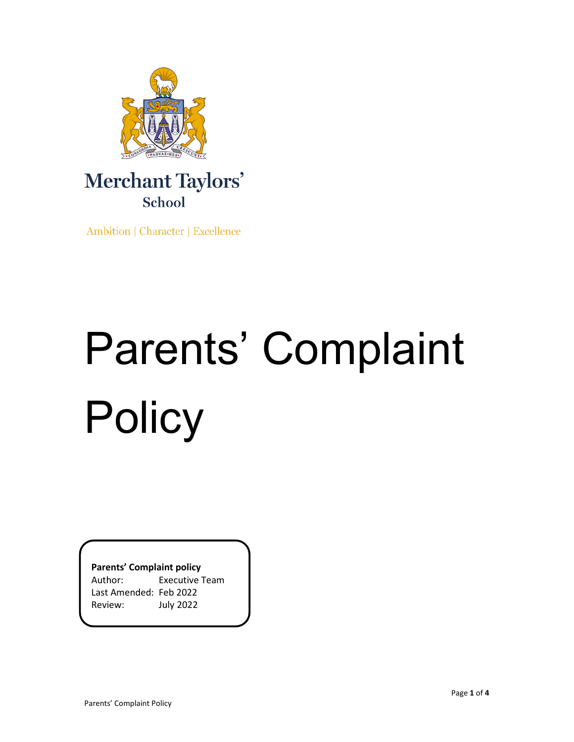

# Merchant Taylors' School

Ambition | Character | Excellence

# Parents' Complaint **Policy**

**Parents' Complaint policy**

Author: Executive Team Last Amended: Feb 2022 Review: July 2022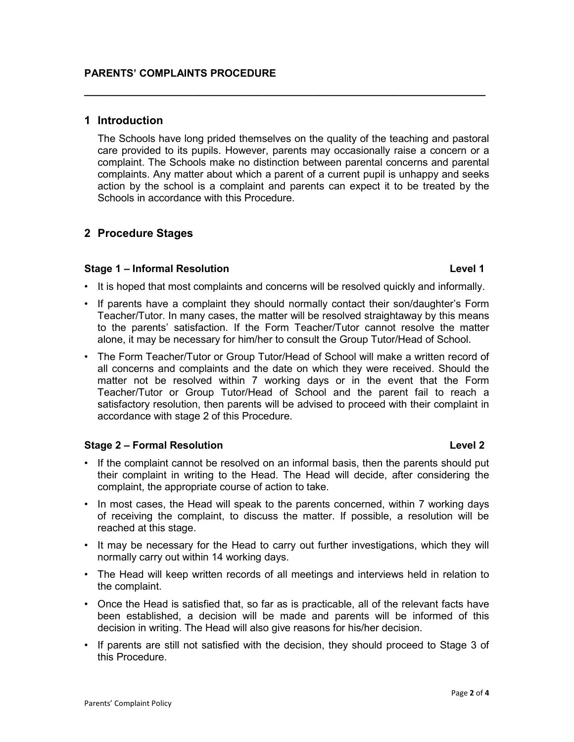# **1 Introduction**

The Schools have long prided themselves on the quality of the teaching and pastoral care provided to its pupils. However, parents may occasionally raise a concern or a complaint. The Schools make no distinction between parental concerns and parental complaints. Any matter about which a parent of a current pupil is unhappy and seeks action by the school is a complaint and parents can expect it to be treated by the Schools in accordance with this Procedure.

**\_\_\_\_\_\_\_\_\_\_\_\_\_\_\_\_\_\_\_\_\_\_\_\_\_\_\_\_\_\_\_\_\_\_\_\_\_\_\_\_\_\_\_\_\_\_\_\_\_\_\_\_\_\_\_\_\_\_\_\_\_\_\_\_\_\_\_\_\_\_**

# **2 Procedure Stages**

# **Stage 1 – Informal Resolution Level 1**

- It is hoped that most complaints and concerns will be resolved quickly and informally.
- If parents have a complaint they should normally contact their son/daughter's Form Teacher/Tutor. In many cases, the matter will be resolved straightaway by this means to the parents' satisfaction. If the Form Teacher/Tutor cannot resolve the matter alone, it may be necessary for him/her to consult the Group Tutor/Head of School.
- The Form Teacher/Tutor or Group Tutor/Head of School will make a written record of all concerns and complaints and the date on which they were received. Should the matter not be resolved within 7 working days or in the event that the Form Teacher/Tutor or Group Tutor/Head of School and the parent fail to reach a satisfactory resolution, then parents will be advised to proceed with their complaint in accordance with stage 2 of this Procedure.

# **Stage 2 – Formal Resolution Level 2** and the stage 1 and the stage 1 and the stage 1 and the stage 1 and the stage 1

- If the complaint cannot be resolved on an informal basis, then the parents should put their complaint in writing to the Head. The Head will decide, after considering the complaint, the appropriate course of action to take.
- In most cases, the Head will speak to the parents concerned, within 7 working days of receiving the complaint, to discuss the matter. If possible, a resolution will be reached at this stage.
- It may be necessary for the Head to carry out further investigations, which they will normally carry out within 14 working days.
- The Head will keep written records of all meetings and interviews held in relation to the complaint.
- Once the Head is satisfied that, so far as is practicable, all of the relevant facts have been established, a decision will be made and parents will be informed of this decision in writing. The Head will also give reasons for his/her decision.
- If parents are still not satisfied with the decision, they should proceed to Stage 3 of this Procedure.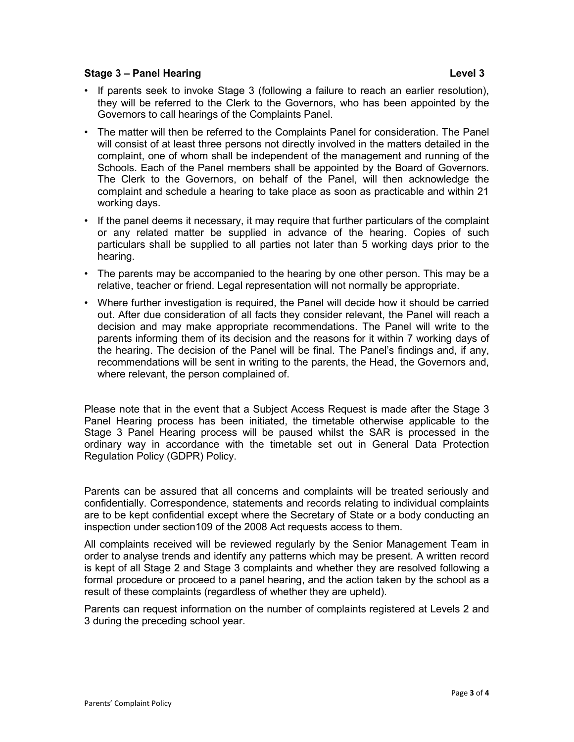## **Stage 3 – Panel Hearing Level 3**

- If parents seek to invoke Stage 3 (following a failure to reach an earlier resolution), they will be referred to the Clerk to the Governors, who has been appointed by the Governors to call hearings of the Complaints Panel.
- The matter will then be referred to the Complaints Panel for consideration. The Panel will consist of at least three persons not directly involved in the matters detailed in the complaint, one of whom shall be independent of the management and running of the Schools. Each of the Panel members shall be appointed by the Board of Governors. The Clerk to the Governors, on behalf of the Panel, will then acknowledge the complaint and schedule a hearing to take place as soon as practicable and within 21 working days.
- If the panel deems it necessary, it may require that further particulars of the complaint or any related matter be supplied in advance of the hearing. Copies of such particulars shall be supplied to all parties not later than 5 working days prior to the hearing.
- The parents may be accompanied to the hearing by one other person. This may be a relative, teacher or friend. Legal representation will not normally be appropriate.
- Where further investigation is required, the Panel will decide how it should be carried out. After due consideration of all facts they consider relevant, the Panel will reach a decision and may make appropriate recommendations. The Panel will write to the parents informing them of its decision and the reasons for it within 7 working days of the hearing. The decision of the Panel will be final. The Panel's findings and, if any, recommendations will be sent in writing to the parents, the Head, the Governors and, where relevant, the person complained of.

Please note that in the event that a Subject Access Request is made after the Stage 3 Panel Hearing process has been initiated, the timetable otherwise applicable to the Stage 3 Panel Hearing process will be paused whilst the SAR is processed in the ordinary way in accordance with the timetable set out in General Data Protection Regulation Policy (GDPR) Policy.

Parents can be assured that all concerns and complaints will be treated seriously and confidentially. Correspondence, statements and records relating to individual complaints are to be kept confidential except where the Secretary of State or a body conducting an inspection under section109 of the 2008 Act requests access to them.

All complaints received will be reviewed regularly by the Senior Management Team in order to analyse trends and identify any patterns which may be present. A written record is kept of all Stage 2 and Stage 3 complaints and whether they are resolved following a formal procedure or proceed to a panel hearing, and the action taken by the school as a result of these complaints (regardless of whether they are upheld).

Parents can request information on the number of complaints registered at Levels 2 and 3 during the preceding school year.